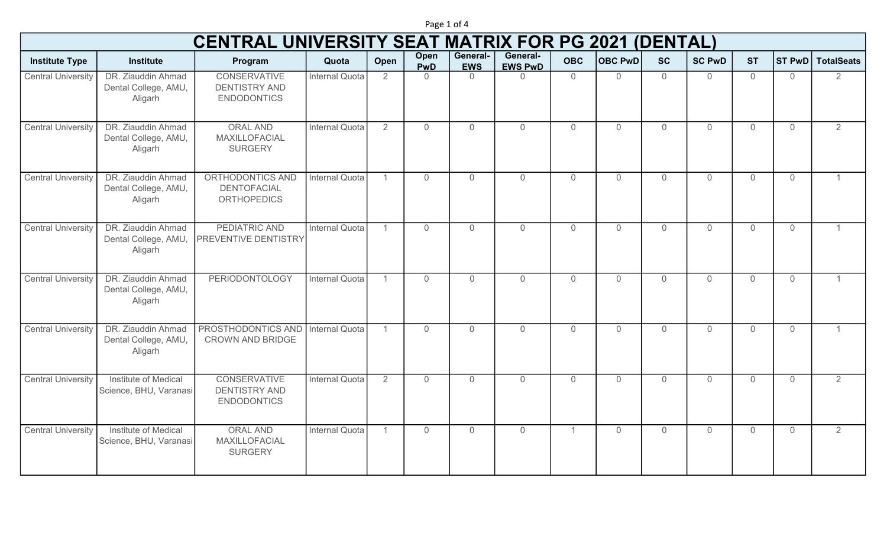|                           |                                                       | <b>CENTRAL UNIVERSITY SEAT MATRIX FOR PG 2021 (DENTAL)</b>        |                       |                |                    |                        |                            |                |                |                |                |                |                |                   |
|---------------------------|-------------------------------------------------------|-------------------------------------------------------------------|-----------------------|----------------|--------------------|------------------------|----------------------------|----------------|----------------|----------------|----------------|----------------|----------------|-------------------|
| <b>Institute Type</b>     | <b>Institute</b>                                      | Program                                                           | Quota                 | Open           | Open<br><b>PwD</b> | General-<br><b>EWS</b> | General-<br><b>EWS PwD</b> | <b>OBC</b>     | OBC PWD        | <b>SC</b>      | <b>SC PwD</b>  | <b>ST</b>      | <b>ST PwD</b>  | <b>TotalSeats</b> |
| <b>Central University</b> | DR. Ziauddin Ahmad<br>Dental College, AMU,<br>Aligarh | <b>CONSERVATIVE</b><br><b>DENTISTRY AND</b><br><b>ENDODONTICS</b> | Internal Quota        | 2              | $\Omega$           | $\Omega$               | $\Omega$                   | $\overline{0}$ | $\Omega$       | $\Omega$       | $\overline{0}$ | $\overline{0}$ | $\Omega$       | 2                 |
| <b>Central University</b> | DR. Ziauddin Ahmad<br>Dental College, AMU,<br>Aligarh | <b>ORAL AND</b><br>MAXILLOFACIAL<br><b>SURGERY</b>                | Internal Quota        | $\overline{2}$ | 0                  | $\overline{0}$         | $\overline{0}$             | $\mathbf 0$    | $\overline{0}$ | $\overline{0}$ | $\overline{0}$ | $\overline{0}$ | $\overline{0}$ | 2                 |
| <b>Central University</b> | DR. Ziauddin Ahmad<br>Dental College, AMU,<br>Aligarh | ORTHODONTICS AND<br><b>DENTOFACIAL</b><br><b>ORTHOPEDICS</b>      | Internal Quota        | $\overline{1}$ | $\overline{0}$     | $\overline{0}$         | $\overline{0}$             | $\overline{0}$ | $\overline{0}$ | $\overline{0}$ | $\overline{0}$ | $\overline{0}$ | $\mathbf{0}$   |                   |
| <b>Central University</b> | DR. Ziauddin Ahmad<br>Dental College, AMU,<br>Aligarh | PEDIATRIC AND<br>PREVENTIVE DENTISTRY                             | Internal Quota        | $\mathbf{1}$   | $\Omega$           | $\overline{0}$         | $\overline{0}$             | $\Omega$       | $\Omega$       | $\Omega$       | $\Omega$       | $\Omega$       | $\Omega$       |                   |
| <b>Central University</b> | DR. Ziauddin Ahmad<br>Dental College, AMU,<br>Aligarh | <b>PERIODONTOLOGY</b>                                             | Internal Quota        | $\mathbf{1}$   | $\overline{0}$     | $\overline{0}$         | $\overline{0}$             | $\overline{0}$ | $\overline{0}$ | $\overline{0}$ | $\overline{0}$ | $\overline{0}$ | $\overline{0}$ |                   |
| <b>Central University</b> | DR. Ziauddin Ahmad<br>Dental College, AMU,<br>Aligarh | PROSTHODONTICS AND<br><b>CROWN AND BRIDGE</b>                     | Internal Quota        |                | $\Omega$           | $\overline{0}$         | $\overline{0}$             | $\Omega$       | $\Omega$       | $\Omega$       | $\Omega$       | $\Omega$       | $\Omega$       |                   |
| <b>Central University</b> | Institute of Medical<br>Science, BHU, Varanasi        | <b>CONSERVATIVE</b><br><b>DENTISTRY AND</b><br><b>ENDODONTICS</b> | <b>Internal Quota</b> | $\overline{2}$ | 0                  | $\overline{0}$         | $\overline{0}$             | $\mathbf{0}$   | $\overline{0}$ | $\overline{0}$ | $\overline{0}$ | $\overline{0}$ | $\overline{0}$ | 2                 |
| <b>Central University</b> | Institute of Medical<br>Science, BHU, Varanasi        | <b>ORAL AND</b><br>MAXILLOFACIAL<br><b>SURGERY</b>                | <b>Internal Quota</b> | $\mathbf{1}$   | $\Omega$           | $\overline{0}$         | $\overline{0}$             | $\overline{1}$ | $\Omega$       | $\Omega$       | $\Omega$       | $\Omega$       | $\Omega$       | 2                 |

Page 1 of 4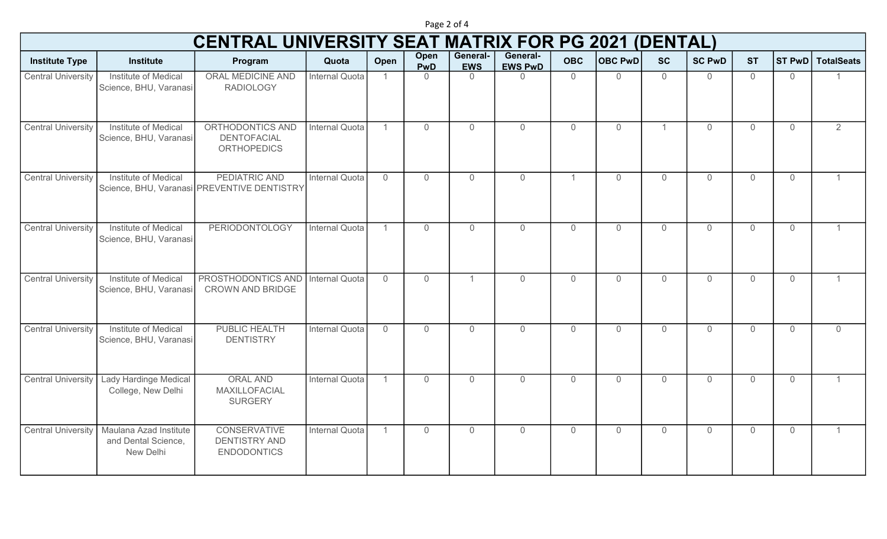Institute Type **Institute Institute Institute Institute** Program Institute Open Open PwD General-EWS General-EWS PwD OBC OBC PwD SC SC PwD ST ST PwD TotalSeats CENTRAL UNIVERSITY SEAT MATRIX FOR PG 2021 (DENTAL) Central University | Institute of Medical Science, BHU, Varanasi ORAL MEDICINE AND RADIOLOGY **Internal Quota** 1 0 0 0 0 0 0 0 0 0 0 0 0 1 Central University | Institute of Medical Science, BHU, Varanasi ORTHODONTICS AND **DENTOFACIAL ORTHOPEDICS** Internal Quota 1 0 0 0 0 0 0 0 0 1 0 0 0 0 2 Central University | Institute of Medical Science, BHU, Varanasi PREVENTIVE DENTISTRY PEDIATRIC AND Internal Quota 0 0 0 0 1 0 0 0 0 0 1 Central University | Institute of Medical Science, BHU, Varanasi PERIODONTOLOGY Internal Quota 1 0 0 0 0 0 0 0 0 0 0 0 1 Central University | Institute of Medical Science, BHU, Varanasi PROSTHODONTICS AND Internal Quota CROWN AND BRIDGE Internal Quota 0 0 1 0 0 0 0 0 0 0 1 Central University | Institute of Medical Science, BHU, Varanasi PUBLIC HEALTH **DENTISTRY** Internal Quota 0 0 0 0 0 0 0 0 0 0 0 Central University Lady Hardinge Medical College, New Delhi ORAL AND MAXILLOFACIAL SURGERY Internal Quota 1 0 0 0 0 0 0 0 0 0 1 Central University | Maulana Azad Institute and Dental Science, New Delhi **CONSERVATIVE** DENTISTRY AND ENDODONTICS Internal Quota 1 0 0 0 0 0 0 0 0 0 0 0 0 1

Page 2 of 4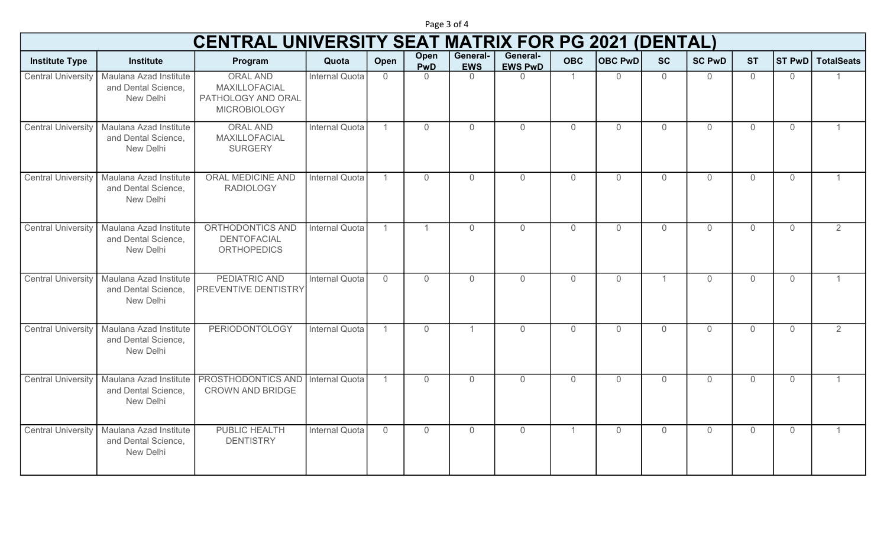Institute Type **Institute Institute Institute Institute** Program Institute Open Open PwD General-EWS General-EWS PwD | OBC | OBC PwD SC | SC PwD | ST | ST PwD | TotalSeats CENTRAL UNIVERSITY SEAT MATRIX FOR PG 2021 (DENTAL) Central University | Maulana Azad Institute and Dental Science, New Delhi ORAL AND MAXILLOFACIAL PATHOLOGY AND ORAL MICROBIOLOGY **Internal Quota** 0 0 0 0 0 0 0 0 0 0 0 0 0 1 0 0 0 1 0 1 0 0 0 1 0 0 1 0 1 0 0 1 0 1 0 0 1 0 1 0 0 1 0 0 1 0 0 1 0 Central University | Maulana Azad Institute and Dental Science, New Delhi ORAL AND MAXILLOFACIAL **SURGERY** Internal Quota 1 0 0 0 0 0 0 0 0 0 0 0 0 1 Central University | Maulana Azad Institute and Dental Science, New Delhi ORAL MEDICINE AND RADIOLOGY Internal Quota 1 0 0 0 0 0 0 0 0 0 0 0 0 1 Central University | Maulana Azad Institute and Dental Science, New Delhi ORTHODONTICS AND DENTOFACIAL **ORTHOPEDICS** Internal Quota 1 1 1 0 0 0 0 0 0 0 0 0 0 0 2 Central University | Maulana Azad Institute and Dental Science, New Delhi PEDIATRIC AND PREVENTIVE DENTISTRY **Internal Quota** 0 0 0 0 0 0 0 0 0 0 0 0 1 0 0 0 0 1 0 0 1 0 1 0 0 1 1 0 0 0 1 1 0 0 0 1 1 1 0 0 0 1 1 0 0 0 1 1 Central University | Maulana Azad Institute and Dental Science, New Delhi PERIODONTOLOGY Internal Quota 1 0 1 0 0 0 0 0 0 0 0 0 2 Central University | Maulana Azad Institute and Dental Science, New Delhi PROSTHODONTICS AND Internal Quota CROWN AND BRIDGE Internal Quota 1 0 0 0 0 0 0 0 0 0 1 Central University | Maulana Azad Institute and Dental Science, New Delhi PUBLIC HEALTH **DENTISTRY** Internal Quota | 0 0 0 0 0 0 0 0 0 0 0 0 0 1 0 0 0 1 0 0 1 0 1 0 0 0 1 0 1 0 0 1 0 0 1 0 0 1 0 0 1 0 0 1 0 0 1

Page 3 of 4